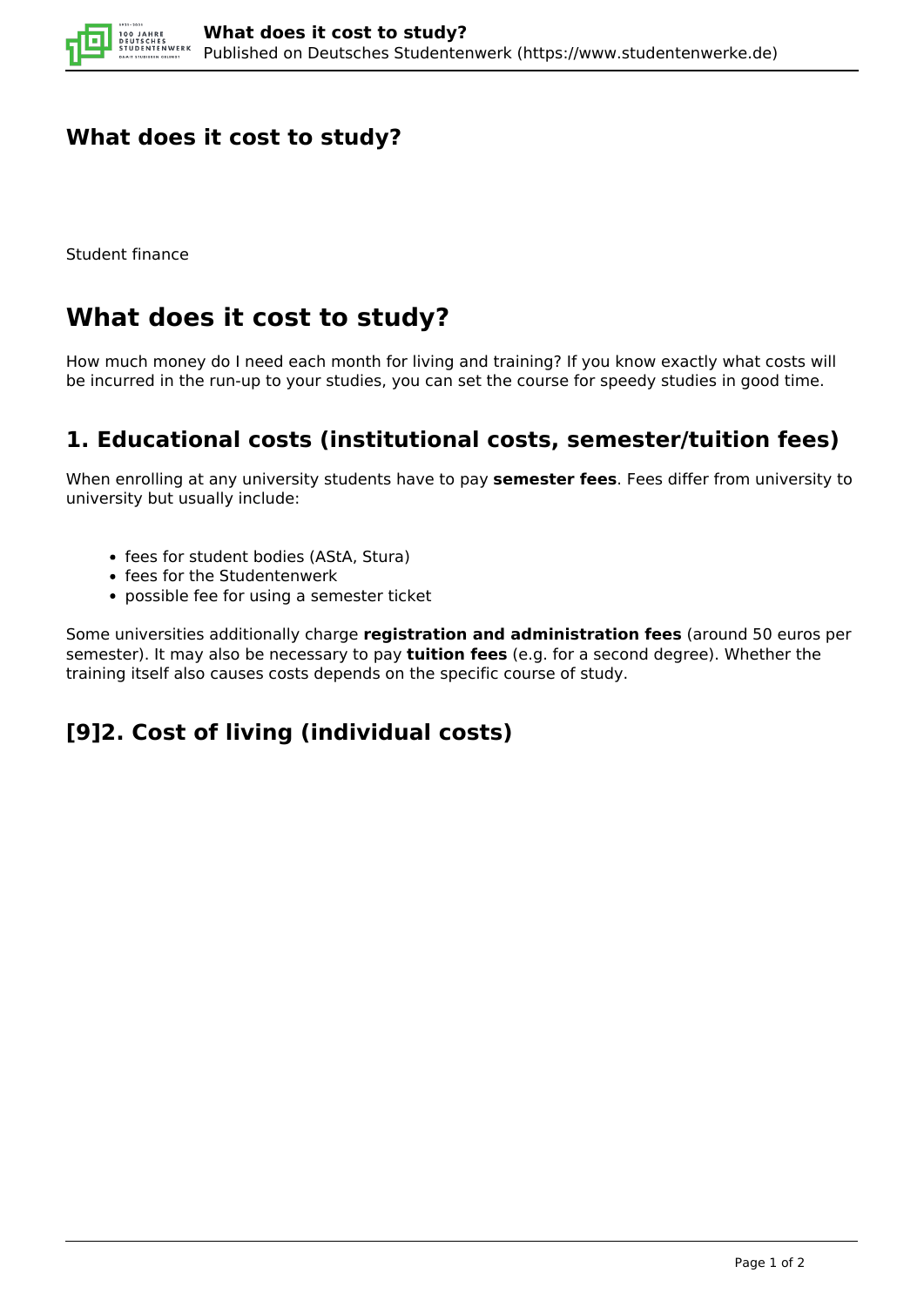

### **What does it cost to study?**

Student finance

# **What does it cost to study?**

How much money do I need each month for living and training? If you know exactly what costs will be incurred in the run-up to your studies, you can set the course for speedy studies in good time.

### **1. Educational costs (institutional costs, semester/tuition fees)**

When enrolling at any university students have to pay **semester fees**. Fees differ from university to university but usually include:

- fees for student bodies (AStA, Stura)
- fees for the Studentenwerk
- possible fee for using a semester ticket

Some universities additionally charge **registration and administration fees** (around 50 euros per semester). It may also be necessary to pay **tuition fees** (e.g. for a second degree). Whether the training itself also causes costs depends on the specific course of study.

## **[9]2. Cost of living (individual costs)**